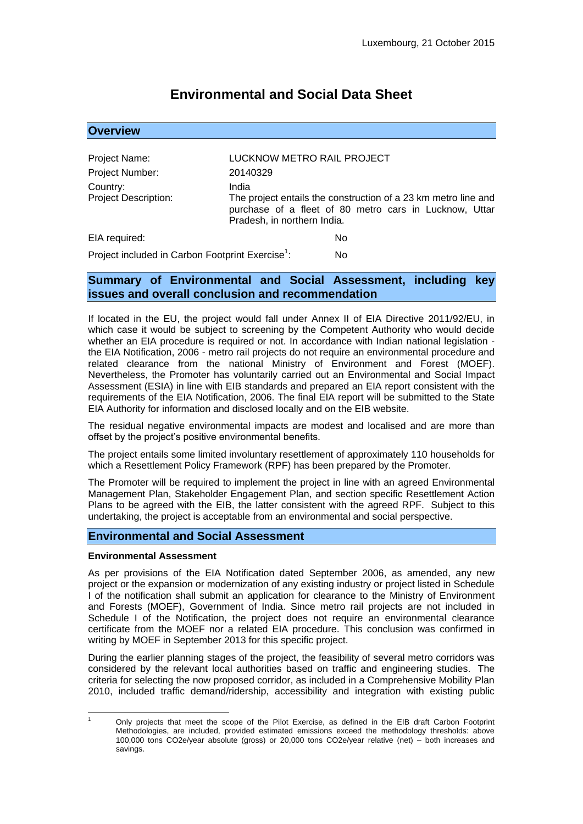# **Environmental and Social Data Sheet**

| <b>Overview</b>                                              |                                                                                                                                                                  |
|--------------------------------------------------------------|------------------------------------------------------------------------------------------------------------------------------------------------------------------|
|                                                              |                                                                                                                                                                  |
| Project Name:                                                | LUCKNOW METRO RAIL PROJECT                                                                                                                                       |
| Project Number:                                              | 20140329                                                                                                                                                         |
| Country:<br><b>Project Description:</b>                      | India<br>The project entails the construction of a 23 km metro line and<br>purchase of a fleet of 80 metro cars in Lucknow, Uttar<br>Pradesh, in northern India. |
| EIA required:                                                | No                                                                                                                                                               |
| Project included in Carbon Footprint Exercise <sup>1</sup> : | No                                                                                                                                                               |

## **Summary of Environmental and Social Assessment, including key issues and overall conclusion and recommendation**

If located in the EU, the project would fall under Annex II of EIA Directive 2011/92/EU, in which case it would be subject to screening by the Competent Authority who would decide whether an EIA procedure is required or not. In accordance with Indian national legislation the EIA Notification, 2006 - metro rail projects do not require an environmental procedure and related clearance from the national Ministry of Environment and Forest (MOEF). Nevertheless, the Promoter has voluntarily carried out an Environmental and Social Impact Assessment (ESIA) in line with EIB standards and prepared an EIA report consistent with the requirements of the EIA Notification, 2006. The final EIA report will be submitted to the State EIA Authority for information and disclosed locally and on the EIB website.

The residual negative environmental impacts are modest and localised and are more than offset by the project's positive environmental benefits.

The project entails some limited involuntary resettlement of approximately 110 households for which a Resettlement Policy Framework (RPF) has been prepared by the Promoter.

The Promoter will be required to implement the project in line with an agreed Environmental Management Plan, Stakeholder Engagement Plan, and section specific Resettlement Action Plans to be agreed with the EIB, the latter consistent with the agreed RPF. Subject to this undertaking, the project is acceptable from an environmental and social perspective.

## **Environmental and Social Assessment**

#### **Environmental Assessment**

As per provisions of the EIA Notification dated September 2006, as amended, any new project or the expansion or modernization of any existing industry or project listed in Schedule I of the notification shall submit an application for clearance to the Ministry of Environment and Forests (MOEF), Government of India. Since metro rail projects are not included in Schedule I of the Notification, the project does not require an environmental clearance certificate from the MOEF nor a related EIA procedure. This conclusion was confirmed in writing by MOEF in September 2013 for this specific project.

During the earlier planning stages of the project, the feasibility of several metro corridors was considered by the relevant local authorities based on traffic and engineering studies. The criteria for selecting the now proposed corridor, as included in a Comprehensive Mobility Plan 2010, included traffic demand/ridership, accessibility and integration with existing public

<sup>1</sup> <sup>1</sup> Only projects that meet the scope of the Pilot Exercise, as defined in the EIB draft Carbon Footprint Methodologies, are included, provided estimated emissions exceed the methodology thresholds: above 100,000 tons CO2e/year absolute (gross) or 20,000 tons CO2e/year relative (net) – both increases and savings.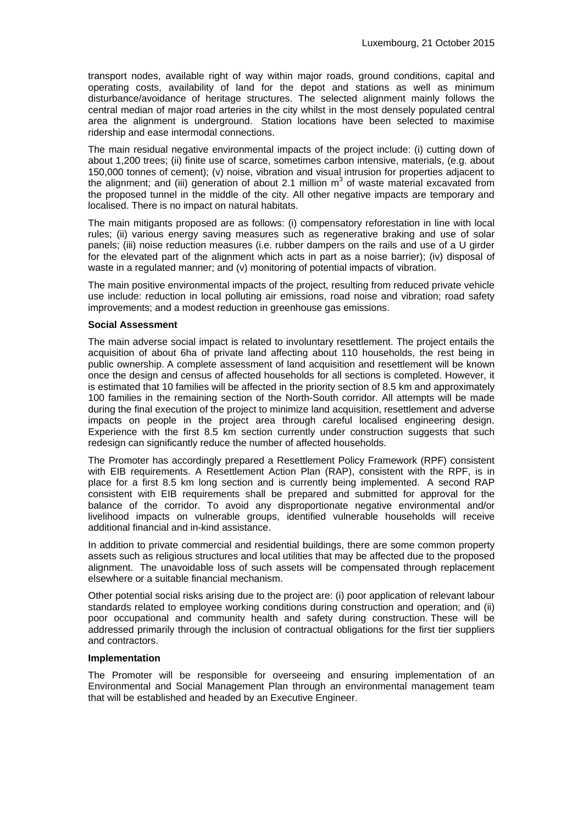transport nodes, available right of way within major roads, ground conditions, capital and operating costs, availability of land for the depot and stations as well as minimum disturbance/avoidance of heritage structures. The selected alignment mainly follows the central median of major road arteries in the city whilst in the most densely populated central area the alignment is underground. Station locations have been selected to maximise ridership and ease intermodal connections.

The main residual negative environmental impacts of the project include: (i) cutting down of about 1,200 trees; (ii) finite use of scarce, sometimes carbon intensive, materials, (e.g. about 150,000 tonnes of cement); (v) noise, vibration and visual intrusion for properties adjacent to the alignment; and (iii) generation of about 2.1 million  $m^3$  of waste material excavated from the proposed tunnel in the middle of the city. All other negative impacts are temporary and localised. There is no impact on natural habitats.

The main mitigants proposed are as follows: (i) compensatory reforestation in line with local rules; (ii) various energy saving measures such as regenerative braking and use of solar panels; (iii) noise reduction measures (i.e. rubber dampers on the rails and use of a U girder for the elevated part of the alignment which acts in part as a noise barrier); (iv) disposal of waste in a regulated manner; and (v) monitoring of potential impacts of vibration.

The main positive environmental impacts of the project, resulting from reduced private vehicle use include: reduction in local polluting air emissions, road noise and vibration; road safety improvements; and a modest reduction in greenhouse gas emissions.

#### **Social Assessment**

The main adverse social impact is related to involuntary resettlement. The project entails the acquisition of about 6ha of private land affecting about 110 households, the rest being in public ownership. A complete assessment of land acquisition and resettlement will be known once the design and census of affected households for all sections is completed. However, it is estimated that 10 families will be affected in the priority section of 8.5 km and approximately 100 families in the remaining section of the North-South corridor. All attempts will be made during the final execution of the project to minimize land acquisition, resettlement and adverse impacts on people in the project area through careful localised engineering design. Experience with the first 8.5 km section currently under construction suggests that such redesign can significantly reduce the number of affected households.

The Promoter has accordingly prepared a Resettlement Policy Framework (RPF) consistent with EIB requirements. A Resettlement Action Plan (RAP), consistent with the RPF, is in place for a first 8.5 km long section and is currently being implemented. A second RAP consistent with EIB requirements shall be prepared and submitted for approval for the balance of the corridor. To avoid any disproportionate negative environmental and/or livelihood impacts on vulnerable groups, identified vulnerable households will receive additional financial and in-kind assistance.

In addition to private commercial and residential buildings, there are some common property assets such as religious structures and local utilities that may be affected due to the proposed alignment. The unavoidable loss of such assets will be compensated through replacement elsewhere or a suitable financial mechanism.

Other potential social risks arising due to the project are: (i) poor application of relevant labour standards related to employee working conditions during construction and operation; and (ii) poor occupational and community health and safety during construction. These will be addressed primarily through the inclusion of contractual obligations for the first tier suppliers and contractors.

#### **Implementation**

The Promoter will be responsible for overseeing and ensuring implementation of an Environmental and Social Management Plan through an environmental management team that will be established and headed by an Executive Engineer.